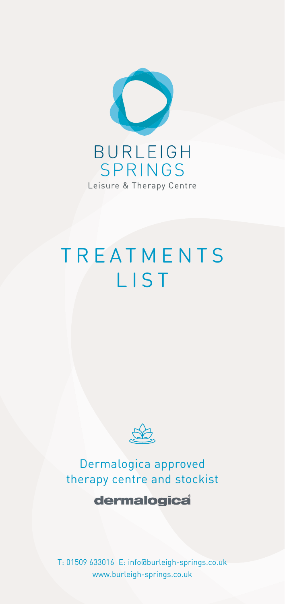

## **TREATMENTS** LIST



## Dermalogica approved therapy centre and stockist

## dermalogica

T: 01509 633016 E: info@burleigh-springs.co.uk www.burleigh-springs.co.uk